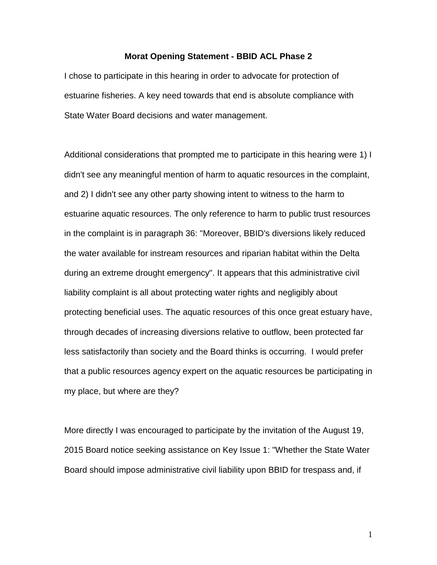## **Morat Opening Statement - BBID ACL Phase 2**

I chose to participate in this hearing in order to advocate for protection of estuarine fisheries. A key need towards that end is absolute compliance with State Water Board decisions and water management.

Additional considerations that prompted me to participate in this hearing were 1) I didn't see any meaningful mention of harm to aquatic resources in the complaint, and 2) I didn't see any other party showing intent to witness to the harm to estuarine aquatic resources. The only reference to harm to public trust resources in the complaint is in paragraph 36: "Moreover, BBID's diversions likely reduced the water available for instream resources and riparian habitat within the Delta during an extreme drought emergency". It appears that this administrative civil liability complaint is all about protecting water rights and negligibly about protecting beneficial uses. The aquatic resources of this once great estuary have, through decades of increasing diversions relative to outflow, been protected far less satisfactorily than society and the Board thinks is occurring. I would prefer that a public resources agency expert on the aquatic resources be participating in my place, but where are they?

More directly I was encouraged to participate by the invitation of the August 19, 2015 Board notice seeking assistance on Key Issue 1: "Whether the State Water Board should impose administrative civil liability upon BBID for trespass and, if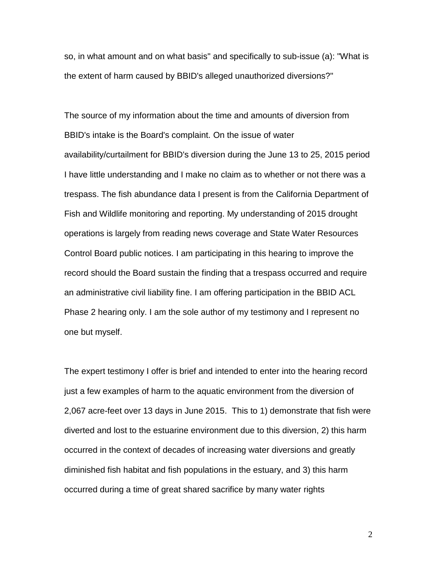so, in what amount and on what basis" and specifically to sub-issue (a): "What is the extent of harm caused by BBID's alleged unauthorized diversions?"

The source of my information about the time and amounts of diversion from BBID's intake is the Board's complaint. On the issue of water availability/curtailment for BBID's diversion during the June 13 to 25, 2015 period I have little understanding and I make no claim as to whether or not there was a trespass. The fish abundance data I present is from the California Department of Fish and Wildlife monitoring and reporting. My understanding of 2015 drought operations is largely from reading news coverage and State Water Resources Control Board public notices. I am participating in this hearing to improve the record should the Board sustain the finding that a trespass occurred and require an administrative civil liability fine. I am offering participation in the BBID ACL Phase 2 hearing only. I am the sole author of my testimony and I represent no one but myself.

The expert testimony I offer is brief and intended to enter into the hearing record just a few examples of harm to the aquatic environment from the diversion of 2,067 acre-feet over 13 days in June 2015. This to 1) demonstrate that fish were diverted and lost to the estuarine environment due to this diversion, 2) this harm occurred in the context of decades of increasing water diversions and greatly diminished fish habitat and fish populations in the estuary, and 3) this harm occurred during a time of great shared sacrifice by many water rights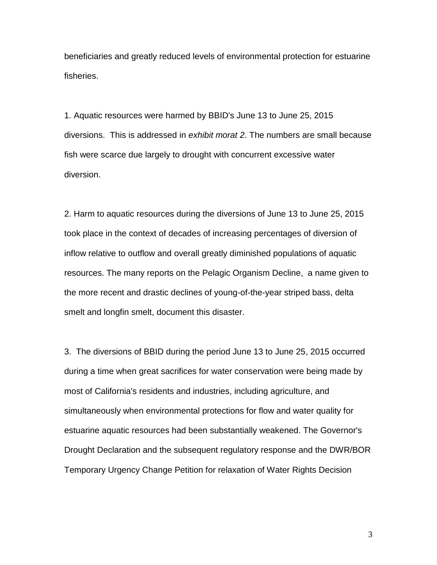beneficiaries and greatly reduced levels of environmental protection for estuarine fisheries.

1. Aquatic resources were harmed by BBID's June 13 to June 25, 2015 diversions. This is addressed in *exhibit morat 2*. The numbers are small because fish were scarce due largely to drought with concurrent excessive water diversion.

2. Harm to aquatic resources during the diversions of June 13 to June 25, 2015 took place in the context of decades of increasing percentages of diversion of inflow relative to outflow and overall greatly diminished populations of aquatic resources. The many reports on the Pelagic Organism Decline, a name given to the more recent and drastic declines of young-of-the-year striped bass, delta smelt and longfin smelt, document this disaster.

3. The diversions of BBID during the period June 13 to June 25, 2015 occurred during a time when great sacrifices for water conservation were being made by most of California's residents and industries, including agriculture, and simultaneously when environmental protections for flow and water quality for estuarine aquatic resources had been substantially weakened. The Governor's Drought Declaration and the subsequent regulatory response and the DWR/BOR Temporary Urgency Change Petition for relaxation of Water Rights Decision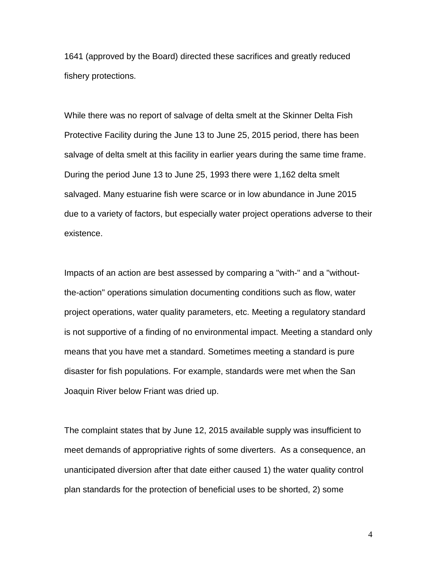1641 (approved by the Board) directed these sacrifices and greatly reduced fishery protections.

While there was no report of salvage of delta smelt at the Skinner Delta Fish Protective Facility during the June 13 to June 25, 2015 period, there has been salvage of delta smelt at this facility in earlier years during the same time frame. During the period June 13 to June 25, 1993 there were 1,162 delta smelt salvaged. Many estuarine fish were scarce or in low abundance in June 2015 due to a variety of factors, but especially water project operations adverse to their existence.

Impacts of an action are best assessed by comparing a "with-" and a "withoutthe-action" operations simulation documenting conditions such as flow, water project operations, water quality parameters, etc. Meeting a regulatory standard is not supportive of a finding of no environmental impact. Meeting a standard only means that you have met a standard. Sometimes meeting a standard is pure disaster for fish populations. For example, standards were met when the San Joaquin River below Friant was dried up.

The complaint states that by June 12, 2015 available supply was insufficient to meet demands of appropriative rights of some diverters. As a consequence, an unanticipated diversion after that date either caused 1) the water quality control plan standards for the protection of beneficial uses to be shorted, 2) some